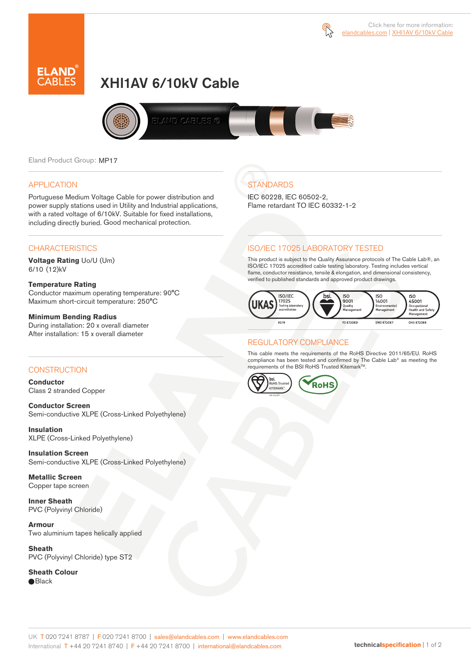



# XHI1AV 6/10kV Cable



Eland Product Group: MP17

### APPLICATION

Portuguese Medium Voltage Cable for power distribution and power supply stations used in Utility and Industrial applications, with a rated voltage of 6/10kV. Suitable for fixed installations, including directly buried. Good mechanical protection.

### **CHARACTERISTICS**

**Voltage Rating** Uo/U (Um) 6/10 (12)kV

### **Temperature Rating**

Conductor maximum operating temperature: 90°C Maximum short-circuit temperature: 250°C

### **Minimum Bending Radius**

During installation: 20 x overall diameter After installation: 15 x overall diameter

### CONSTRUCTION

**Conductor**  Class 2 stranded Copper

**Conductor Screen** Semi-conductive XLPE (Cross-Linked Polyethylene)

**Insulation** XLPE (Cross-Linked Polyethylene)

**Insulation Screen** Semi-conductive XLPE (Cross-Linked Polyethylene)

**Metallic Screen**  Copper tape screen

**Inner Sheath** PVC (Polyvinyl Chloride)

**Armour** Two aluminium tapes helically applied

**Sheath** PVC (Polyvinyl Chloride) type ST2

**Sheath Colour**  ● Black

# **STANDARDS**

IEC 60228, IEC 60502-2, Flame retardant TO IEC 60332-1-2

### ISO/IEC 17025 LABORATORY TESTED

This product is subject to the Quality Assurance protocols of The Cable Lab®, an ISO/IEC 17025 accredited cable testing laboratory. Testing includes vertical flame, conductor resistance, tensile & elongation, and dimensional consistency, verified to published standards and approved product drawings.



### REGULATORY COMPLIANCE

This cable meets the requirements of the RoHS Directive 2011/65/EU. RoHS compliance has been tested and confirmed by The Cable Lab® as meeting the requirements of the BSI RoHS Trusted Kitemark™.



#### UK T 020 7241 8787 | F 020 7241 8700 | sales@elandcables.com | www.elandcables.com International T +44 20 7241 8740 | F +44 20 7241 8700 | international@elandcables.com